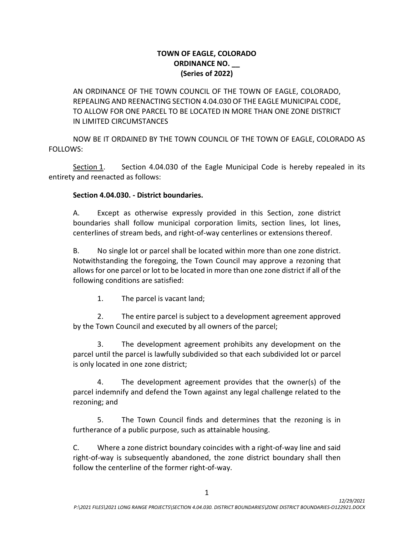## **TOWN OF EAGLE, COLORADO ORDINANCE NO. \_\_ (Series of 2022)**

AN ORDINANCE OF THE TOWN COUNCIL OF THE TOWN OF EAGLE, COLORADO, REPEALING AND REENACTING SECTION 4.04.030 OF THE EAGLE MUNICIPAL CODE, TO ALLOW FOR ONE PARCEL TO BE LOCATED IN MORE THAN ONE ZONE DISTRICT IN LIMITED CIRCUMSTANCES

NOW BE IT ORDAINED BY THE TOWN COUNCIL OF THE TOWN OF EAGLE, COLORADO AS FOLLOWS:

Section 1. Section 4.04.030 of the Eagle Municipal Code is hereby repealed in its entirety and reenacted as follows:

## **Section 4.04.030. - District boundaries.**

A. Except as otherwise expressly provided in this Section, zone district boundaries shall follow municipal corporation limits, section lines, lot lines, centerlines of stream beds, and right-of-way centerlines or extensions thereof.

B. No single lot or parcel shall be located within more than one zone district. Notwithstanding the foregoing, the Town Council may approve a rezoning that allows for one parcel or lot to be located in more than one zone district if all of the following conditions are satisfied:

1. The parcel is vacant land;

2. The entire parcel is subject to a development agreement approved by the Town Council and executed by all owners of the parcel;

3. The development agreement prohibits any development on the parcel until the parcel is lawfully subdivided so that each subdivided lot or parcel is only located in one zone district;

4. The development agreement provides that the owner(s) of the parcel indemnify and defend the Town against any legal challenge related to the rezoning; and

5. The Town Council finds and determines that the rezoning is in furtherance of a public purpose, such as attainable housing.

C. Where a zone district boundary coincides with a right-of-way line and said right-of-way is subsequently abandoned, the zone district boundary shall then follow the centerline of the former right-of-way.